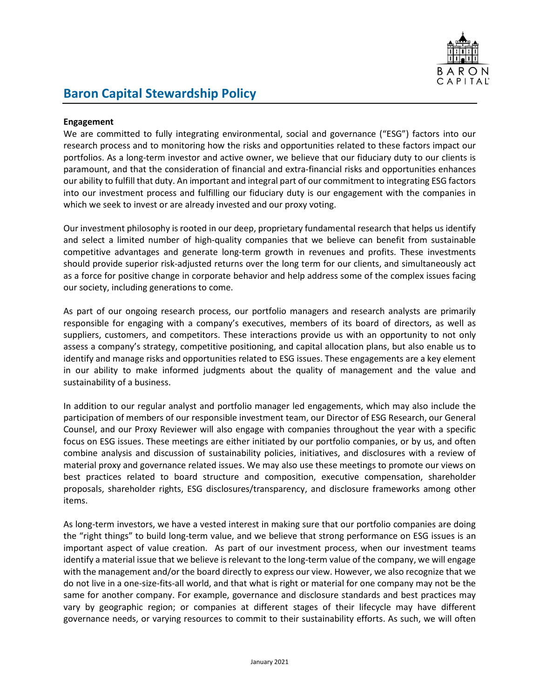

## Baron Capital Stewardship Policy

## Engagement

We are committed to fully integrating environmental, social and governance ("ESG") factors into our research process and to monitoring how the risks and opportunities related to these factors impact our portfolios. As a long-term investor and active owner, we believe that our fiduciary duty to our clients is paramount, and that the consideration of financial and extra-financial risks and opportunities enhances our ability to fulfill that duty. An important and integral part of our commitment to integrating ESG factors into our investment process and fulfilling our fiduciary duty is our engagement with the companies in which we seek to invest or are already invested and our proxy voting.

Our investment philosophy is rooted in our deep, proprietary fundamental research that helps us identify and select a limited number of high-quality companies that we believe can benefit from sustainable competitive advantages and generate long-term growth in revenues and profits. These investments should provide superior risk-adjusted returns over the long term for our clients, and simultaneously act as a force for positive change in corporate behavior and help address some of the complex issues facing our society, including generations to come.

As part of our ongoing research process, our portfolio managers and research analysts are primarily responsible for engaging with a company's executives, members of its board of directors, as well as suppliers, customers, and competitors. These interactions provide us with an opportunity to not only assess a company's strategy, competitive positioning, and capital allocation plans, but also enable us to identify and manage risks and opportunities related to ESG issues. These engagements are a key element in our ability to make informed judgments about the quality of management and the value and sustainability of a business.

In addition to our regular analyst and portfolio manager led engagements, which may also include the participation of members of our responsible investment team, our Director of ESG Research, our General Counsel, and our Proxy Reviewer will also engage with companies throughout the year with a specific focus on ESG issues. These meetings are either initiated by our portfolio companies, or by us, and often combine analysis and discussion of sustainability policies, initiatives, and disclosures with a review of material proxy and governance related issues. We may also use these meetings to promote our views on best practices related to board structure and composition, executive compensation, shareholder proposals, shareholder rights, ESG disclosures/transparency, and disclosure frameworks among other items.

As long-term investors, we have a vested interest in making sure that our portfolio companies are doing the "right things" to build long-term value, and we believe that strong performance on ESG issues is an important aspect of value creation. As part of our investment process, when our investment teams identify a material issue that we believe is relevant to the long-term value of the company, we will engage with the management and/or the board directly to express our view. However, we also recognize that we do not live in a one-size-fits-all world, and that what is right or material for one company may not be the same for another company. For example, governance and disclosure standards and best practices may vary by geographic region; or companies at different stages of their lifecycle may have different governance needs, or varying resources to commit to their sustainability efforts. As such, we will often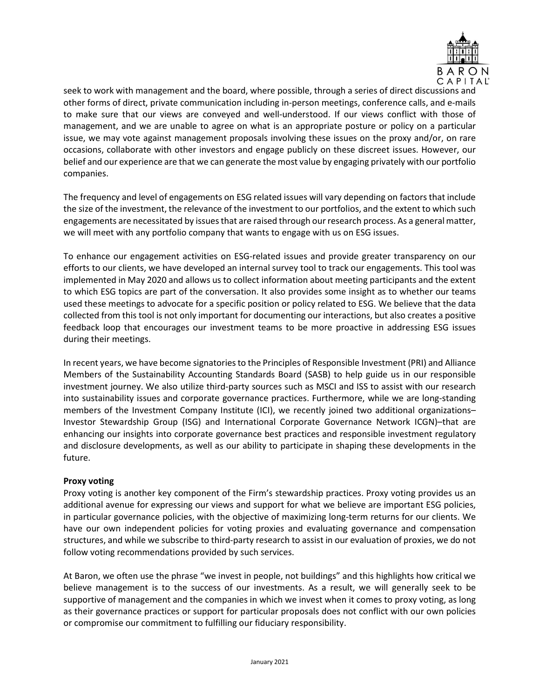

seek to work with management and the board, where possible, through a series of direct discussions and other forms of direct, private communication including in-person meetings, conference calls, and e-mails to make sure that our views are conveyed and well-understood. If our views conflict with those of management, and we are unable to agree on what is an appropriate posture or policy on a particular issue, we may vote against management proposals involving these issues on the proxy and/or, on rare occasions, collaborate with other investors and engage publicly on these discreet issues. However, our belief and our experience are that we can generate the most value by engaging privately with our portfolio companies.

The frequency and level of engagements on ESG related issues will vary depending on factors that include the size of the investment, the relevance of the investment to our portfolios, and the extent to which such engagements are necessitated by issues that are raised through our research process. As a general matter, we will meet with any portfolio company that wants to engage with us on ESG issues.

To enhance our engagement activities on ESG-related issues and provide greater transparency on our efforts to our clients, we have developed an internal survey tool to track our engagements. This tool was implemented in May 2020 and allows us to collect information about meeting participants and the extent to which ESG topics are part of the conversation. It also provides some insight as to whether our teams used these meetings to advocate for a specific position or policy related to ESG. We believe that the data collected from this tool is not only important for documenting our interactions, but also creates a positive feedback loop that encourages our investment teams to be more proactive in addressing ESG issues during their meetings.

In recent years, we have become signatories to the Principles of Responsible Investment (PRI) and Alliance Members of the Sustainability Accounting Standards Board (SASB) to help guide us in our responsible investment journey. We also utilize third-party sources such as MSCI and ISS to assist with our research into sustainability issues and corporate governance practices. Furthermore, while we are long-standing members of the Investment Company Institute (ICI), we recently joined two additional organizations– Investor Stewardship Group (ISG) and International Corporate Governance Network ICGN)–that are enhancing our insights into corporate governance best practices and responsible investment regulatory and disclosure developments, as well as our ability to participate in shaping these developments in the future.

## Proxy voting

Proxy voting is another key component of the Firm's stewardship practices. Proxy voting provides us an additional avenue for expressing our views and support for what we believe are important ESG policies, in particular governance policies, with the objective of maximizing long-term returns for our clients. We have our own independent policies for voting proxies and evaluating governance and compensation structures, and while we subscribe to third-party research to assist in our evaluation of proxies, we do not follow voting recommendations provided by such services.

At Baron, we often use the phrase "we invest in people, not buildings" and this highlights how critical we believe management is to the success of our investments. As a result, we will generally seek to be supportive of management and the companies in which we invest when it comes to proxy voting, as long as their governance practices or support for particular proposals does not conflict with our own policies or compromise our commitment to fulfilling our fiduciary responsibility.